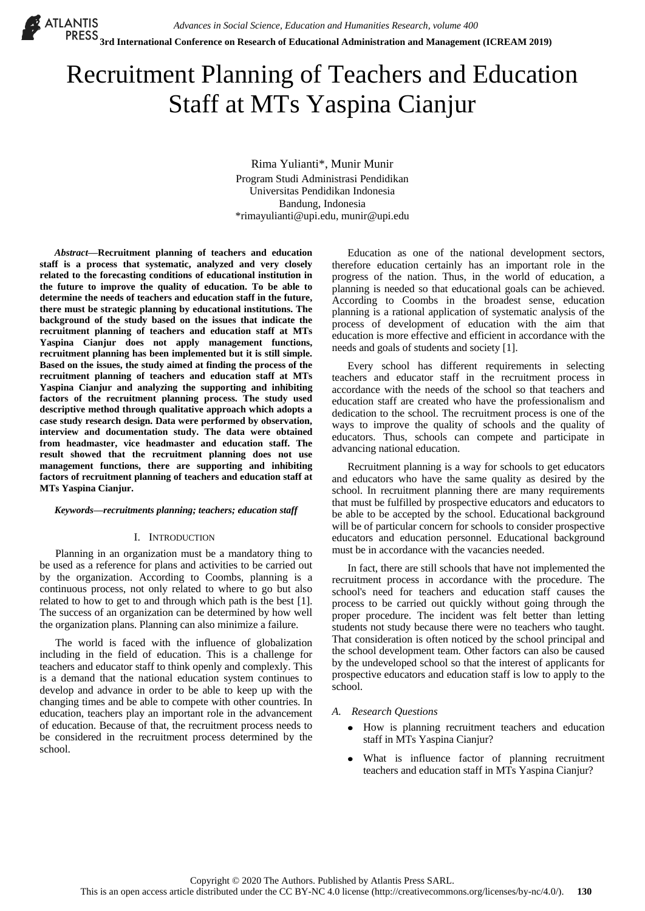# Recruitment Planning of Teachers and Education Staff at MTs Yaspina Cianjur

Rima Yulianti\*, Munir Munir Program Studi Administrasi Pendidikan Universitas Pendidikan Indonesia Bandung, Indonesia \*rimayulianti@upi.edu, munir@upi.edu

*Abstract***—Recruitment planning of teachers and education staff is a process that systematic, analyzed and very closely related to the forecasting conditions of educational institution in the future to improve the quality of education. To be able to determine the needs of teachers and education staff in the future, there must be strategic planning by educational institutions. The background of the study based on the issues that indicate the recruitment planning of teachers and education staff at MTs Yaspina Cianjur does not apply management functions, recruitment planning has been implemented but it is still simple. Based on the issues, the study aimed at finding the process of the recruitment planning of teachers and education staff at MTs Yaspina Cianjur and analyzing the supporting and inhibiting factors of the recruitment planning process. The study used descriptive method through qualitative approach which adopts a case study research design. Data were performed by observation, interview and documentation study. The data were obtained from headmaster, vice headmaster and education staff. The result showed that the recruitment planning does not use management functions, there are supporting and inhibiting factors of recruitment planning of teachers and education staff at MTs Yaspina Cianjur.**

## *Keywords—recruitments planning; teachers; education staff*

## I. INTRODUCTION

Planning in an organization must be a mandatory thing to be used as a reference for plans and activities to be carried out by the organization. According to Coombs, planning is a continuous process, not only related to where to go but also related to how to get to and through which path is the best [1]. The success of an organization can be determined by how well the organization plans. Planning can also minimize a failure.

The world is faced with the influence of globalization including in the field of education. This is a challenge for teachers and educator staff to think openly and complexly. This is a demand that the national education system continues to develop and advance in order to be able to keep up with the changing times and be able to compete with other countries. In education, teachers play an important role in the advancement of education. Because of that, the recruitment process needs to be considered in the recruitment process determined by the school.

Education as one of the national development sectors, therefore education certainly has an important role in the progress of the nation. Thus, in the world of education, a planning is needed so that educational goals can be achieved. According to Coombs in the broadest sense, education planning is a rational application of systematic analysis of the process of development of education with the aim that education is more effective and efficient in accordance with the needs and goals of students and society [1].

Every school has different requirements in selecting teachers and educator staff in the recruitment process in accordance with the needs of the school so that teachers and education staff are created who have the professionalism and dedication to the school. The recruitment process is one of the ways to improve the quality of schools and the quality of educators. Thus, schools can compete and participate in advancing national education.

Recruitment planning is a way for schools to get educators and educators who have the same quality as desired by the school. In recruitment planning there are many requirements that must be fulfilled by prospective educators and educators to be able to be accepted by the school. Educational background will be of particular concern for schools to consider prospective educators and education personnel. Educational background must be in accordance with the vacancies needed.

In fact, there are still schools that have not implemented the recruitment process in accordance with the procedure. The school's need for teachers and education staff causes the process to be carried out quickly without going through the proper procedure. The incident was felt better than letting students not study because there were no teachers who taught. That consideration is often noticed by the school principal and the school development team. Other factors can also be caused by the undeveloped school so that the interest of applicants for prospective educators and education staff is low to apply to the school.

## *A. Research Questions*

- How is planning recruitment teachers and education staff in MTs Yaspina Cianjur?
- What is influence factor of planning recruitment  $\bullet$ teachers and education staff in MTs Yaspina Cianjur?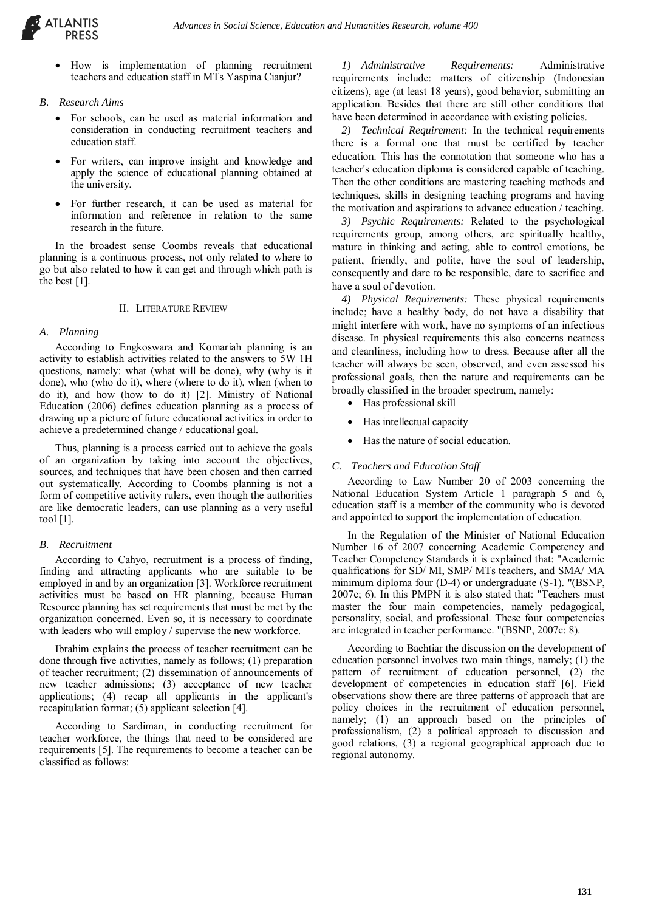

- How is implementation of planning recruitment teachers and education staff in MTs Yaspina Cianjur?
- *B. Research Aims*
	- For schools, can be used as material information and consideration in conducting recruitment teachers and education staff.
	- For writers, can improve insight and knowledge and apply the science of educational planning obtained at the university.
	- For further research, it can be used as material for information and reference in relation to the same research in the future.

In the broadest sense Coombs reveals that educational planning is a continuous process, not only related to where to go but also related to how it can get and through which path is the best [1].

## II. LITERATURE REVIEW

## *A. Planning*

According to Engkoswara and Komariah planning is an activity to establish activities related to the answers to 5W 1H questions, namely: what (what will be done), why (why is it done), who (who do it), where (where to do it), when (when to do it), and how (how to do it) [2]. Ministry of National Education (2006) defines education planning as a process of drawing up a picture of future educational activities in order to achieve a predetermined change / educational goal.

Thus, planning is a process carried out to achieve the goals of an organization by taking into account the objectives, sources, and techniques that have been chosen and then carried out systematically. According to Coombs planning is not a form of competitive activity rulers, even though the authorities are like democratic leaders, can use planning as a very useful tool [1].

# *B. Recruitment*

According to Cahyo, recruitment is a process of finding, finding and attracting applicants who are suitable to be employed in and by an organization [3]. Workforce recruitment activities must be based on HR planning, because Human Resource planning has set requirements that must be met by the organization concerned. Even so, it is necessary to coordinate with leaders who will employ / supervise the new workforce.

Ibrahim explains the process of teacher recruitment can be done through five activities, namely as follows; (1) preparation of teacher recruitment; (2) dissemination of announcements of new teacher admissions; (3) acceptance of new teacher applications; (4) recap all applicants in the applicant's recapitulation format; (5) applicant selection [4].

According to Sardiman, in conducting recruitment for teacher workforce, the things that need to be considered are requirements [5]. The requirements to become a teacher can be classified as follows:

*1) Administrative Requirements:* Administrative requirements include: matters of citizenship (Indonesian citizens), age (at least 18 years), good behavior, submitting an application. Besides that there are still other conditions that have been determined in accordance with existing policies.

*2) Technical Requirement:* In the technical requirements there is a formal one that must be certified by teacher education. This has the connotation that someone who has a teacher's education diploma is considered capable of teaching. Then the other conditions are mastering teaching methods and techniques, skills in designing teaching programs and having the motivation and aspirations to advance education / teaching.

*3) Psychic Requirements:* Related to the psychological requirements group, among others, are spiritually healthy, mature in thinking and acting, able to control emotions, be patient, friendly, and polite, have the soul of leadership, consequently and dare to be responsible, dare to sacrifice and have a soul of devotion.

*4) Physical Requirements:* These physical requirements include; have a healthy body, do not have a disability that might interfere with work, have no symptoms of an infectious disease. In physical requirements this also concerns neatness and cleanliness, including how to dress. Because after all the teacher will always be seen, observed, and even assessed his professional goals, then the nature and requirements can be broadly classified in the broader spectrum, namely:

- Has professional skill
- Has intellectual capacity
- Has the nature of social education.

# *C. Teachers and Education Staff*

According to Law Number 20 of 2003 concerning the National Education System Article 1 paragraph 5 and 6, education staff is a member of the community who is devoted and appointed to support the implementation of education.

In the Regulation of the Minister of National Education Number 16 of 2007 concerning Academic Competency and Teacher Competency Standards it is explained that: "Academic qualifications for SD/ MI, SMP/ MTs teachers, and SMA/ MA minimum diploma four (D-4) or undergraduate (S-1). "(BSNP, 2007c; 6). In this PMPN it is also stated that: "Teachers must master the four main competencies, namely pedagogical, personality, social, and professional. These four competencies are integrated in teacher performance. "(BSNP, 2007c: 8).

According to Bachtiar the discussion on the development of education personnel involves two main things, namely; (1) the pattern of recruitment of education personnel, (2) the development of competencies in education staff [6]. Field observations show there are three patterns of approach that are policy choices in the recruitment of education personnel, namely; (1) an approach based on the principles of professionalism, (2) a political approach to discussion and good relations, (3) a regional geographical approach due to regional autonomy.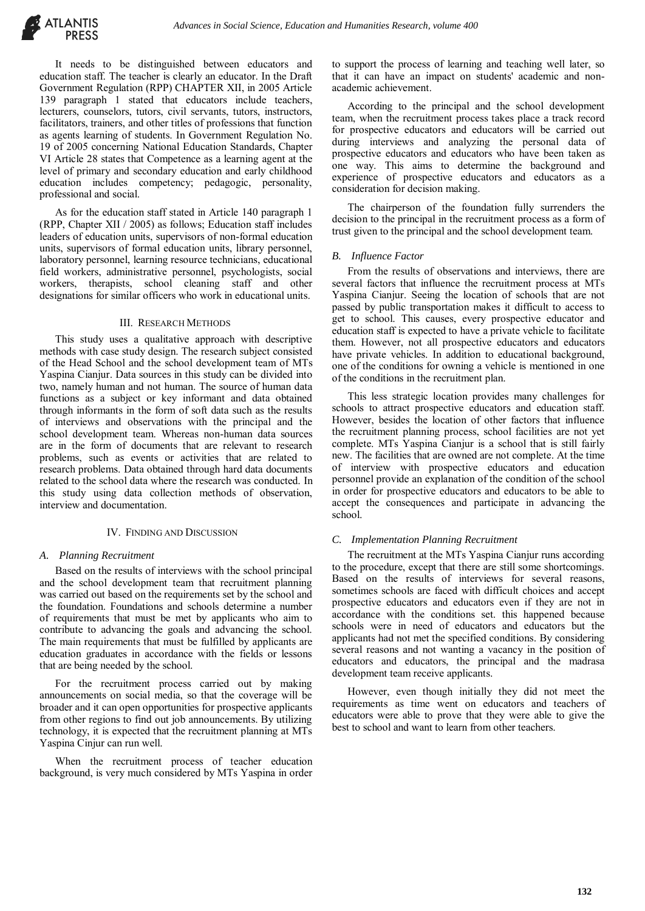It needs to be distinguished between educators and education staff. The teacher is clearly an educator. In the Draft Government Regulation (RPP) CHAPTER XII, in 2005 Article 139 paragraph 1 stated that educators include teachers, lecturers, counselors, tutors, civil servants, tutors, instructors, facilitators, trainers, and other titles of professions that function as agents learning of students. In Government Regulation No. 19 of 2005 concerning National Education Standards, Chapter VI Article 28 states that Competence as a learning agent at the level of primary and secondary education and early childhood education includes competency; pedagogic, personality, professional and social.

As for the education staff stated in Article 140 paragraph 1 (RPP, Chapter XII / 2005) as follows; Education staff includes leaders of education units, supervisors of non-formal education units, supervisors of formal education units, library personnel, laboratory personnel, learning resource technicians, educational field workers, administrative personnel, psychologists, social workers, therapists, school cleaning staff and other designations for similar officers who work in educational units.

#### III. RESEARCH METHODS

This study uses a qualitative approach with descriptive methods with case study design. The research subject consisted of the Head School and the school development team of MTs Yaspina Cianjur. Data sources in this study can be divided into two, namely human and not human. The source of human data functions as a subject or key informant and data obtained through informants in the form of soft data such as the results of interviews and observations with the principal and the school development team. Whereas non-human data sources are in the form of documents that are relevant to research problems, such as events or activities that are related to research problems. Data obtained through hard data documents related to the school data where the research was conducted. In this study using data collection methods of observation, interview and documentation.

#### IV. FINDING AND DISCUSSION

#### *A. Planning Recruitment*

Based on the results of interviews with the school principal and the school development team that recruitment planning was carried out based on the requirements set by the school and the foundation. Foundations and schools determine a number of requirements that must be met by applicants who aim to contribute to advancing the goals and advancing the school. The main requirements that must be fulfilled by applicants are education graduates in accordance with the fields or lessons that are being needed by the school.

For the recruitment process carried out by making announcements on social media, so that the coverage will be broader and it can open opportunities for prospective applicants from other regions to find out job announcements. By utilizing technology, it is expected that the recruitment planning at MTs Yaspina Cinjur can run well.

When the recruitment process of teacher education background, is very much considered by MTs Yaspina in order

to support the process of learning and teaching well later, so that it can have an impact on students' academic and nonacademic achievement.

According to the principal and the school development team, when the recruitment process takes place a track record for prospective educators and educators will be carried out during interviews and analyzing the personal data of prospective educators and educators who have been taken as one way. This aims to determine the background and experience of prospective educators and educators as a consideration for decision making.

The chairperson of the foundation fully surrenders the decision to the principal in the recruitment process as a form of trust given to the principal and the school development team.

#### *B. Influence Factor*

From the results of observations and interviews, there are several factors that influence the recruitment process at MTs Yaspina Cianjur. Seeing the location of schools that are not passed by public transportation makes it difficult to access to get to school. This causes, every prospective educator and education staff is expected to have a private vehicle to facilitate them. However, not all prospective educators and educators have private vehicles. In addition to educational background, one of the conditions for owning a vehicle is mentioned in one of the conditions in the recruitment plan.

This less strategic location provides many challenges for schools to attract prospective educators and education staff. However, besides the location of other factors that influence the recruitment planning process, school facilities are not yet complete. MTs Yaspina Cianjur is a school that is still fairly new. The facilities that are owned are not complete. At the time of interview with prospective educators and education personnel provide an explanation of the condition of the school in order for prospective educators and educators to be able to accept the consequences and participate in advancing the school.

#### *C. Implementation Planning Recruitment*

The recruitment at the MTs Yaspina Cianjur runs according to the procedure, except that there are still some shortcomings. Based on the results of interviews for several reasons, sometimes schools are faced with difficult choices and accept prospective educators and educators even if they are not in accordance with the conditions set. this happened because schools were in need of educators and educators but the applicants had not met the specified conditions. By considering several reasons and not wanting a vacancy in the position of educators and educators, the principal and the madrasa development team receive applicants.

However, even though initially they did not meet the requirements as time went on educators and teachers of educators were able to prove that they were able to give the best to school and want to learn from other teachers.